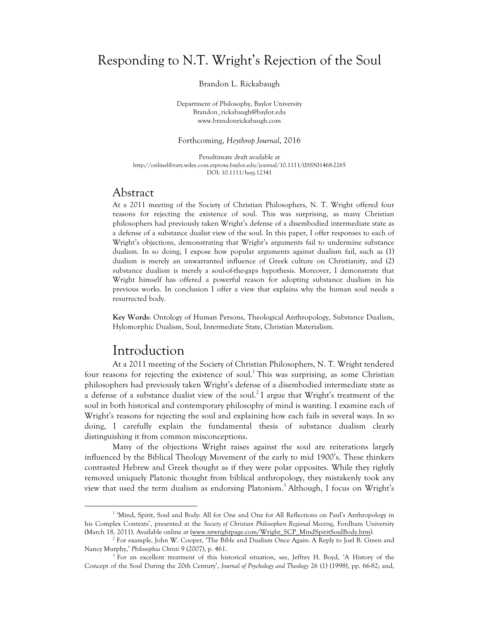## Responding to N.T. Wright's Rejection of the Soul

Brandon L. Rickabaugh

Department of Philosophy, Baylor University Brandon\_rickabaugh@baylor.edu www.brandonrickabaugh.com

Forthcoming, *Heythrop Journal*, 2016

Penultimate draft available at http://onlinelibrary.wiley.com.ezproxy.baylor.edu/journal/10.1111/(ISSN)1468-2265 DOI: 10.1111/heyj.12341

## Abstract

At a 2011 meeting of the Society of Christian Philosophers, N. T. Wright offered four reasons for rejecting the existence of soul. This was surprising, as many Christian philosophers had previously taken Wright's defense of a disembodied intermediate state as a defense of a substance dualist view of the soul. In this paper, I offer responses to each of Wright's objections, demonstrating that Wright's arguments fail to undermine substance dualism. In so doing, I expose how popular arguments against dualism fail, such as (1) dualism is merely an unwarranted influence of Greek culture on Christianity, and (2) substance dualism is merely a soul-of-the-gaps hypothesis. Moreover, I demonstrate that Wright himself has offered a powerful reason for adopting substance dualism in his previous works. In conclusion I offer a view that explains why the human soul needs a resurrected body.

**Key Words**: Ontology of Human Persons, Theological Anthropology, Substance Dualism, Hylomorphic Dualism, Soul, Intermediate State, Christian Materialism.

## Introduction

 

At a 2011 meeting of the Society of Christian Philosophers, N. T. Wright tendered four reasons for rejecting the existence of soul.<sup>1</sup> This was surprising, as some Christian philosophers had previously taken Wright's defense of a disembodied intermediate state as a defense of a substance dualist view of the soul.<sup>2</sup> I argue that Wright's treatment of the soul in both historical and contemporary philosophy of mind is wanting. I examine each of Wright's reasons for rejecting the soul and explaining how each fails in several ways. In so doing, I carefully explain the fundamental thesis of substance dualism clearly distinguishing it from common misconceptions.

Many of the objections Wright raises against the soul are reiterations largely influenced by the Biblical Theology Movement of the early to mid 1900's. These thinkers contrasted Hebrew and Greek thought as if they were polar opposites. While they rightly removed uniquely Platonic thought from biblical anthropology, they mistakenly took any view that used the term dualism as endorsing Platonism.<sup>3</sup> Although, I focus on Wright's

<sup>&</sup>lt;sup>1</sup> 'Mind, Spirit, Soul and Body: All for One and One for All Reflections on Paul's Anthropology in his Complex Contexts', presented at the *Society of Christian Philosophers Regional Meeting*, Fordham University (March 18, 2011). Available online at (www.ntwrightpage.com/Wright\_SCP\_MindSpiritSoulBody.htm).

<sup>&</sup>lt;sup>2</sup> For example, John W. Cooper, 'The Bible and Dualism Once Again: A Reply to Joel B. Green and Nancy Murphy,' *Philosophia Christi* 9 (2007), p. 461.<br><sup>3</sup> For an excellent treatment of this historical situation, see, Jeffrey H. Boyd, 'A History of the

Concept of the Soul During the 20th Century', *Journal of Psychology and Theology* 26 (1) (1998), pp. 66-82; and,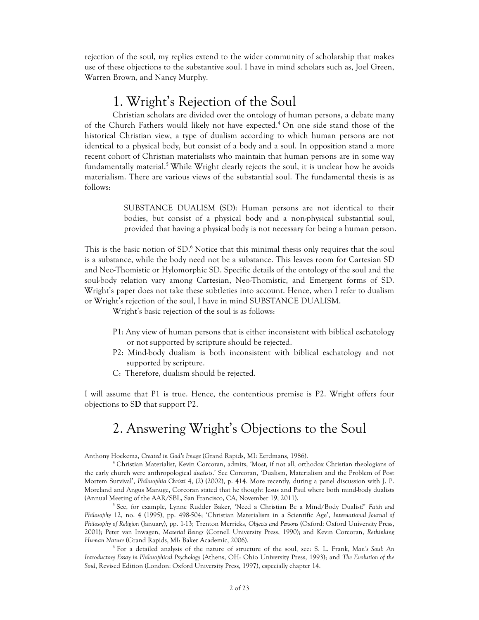rejection of the soul, my replies extend to the wider community of scholarship that makes use of these objections to the substantive soul. I have in mind scholars such as, Joel Green, Warren Brown, and Nancy Murphy.

## 1. Wright's Rejection of the Soul

Christian scholars are divided over the ontology of human persons, a debate many of the Church Fathers would likely not have expected.<sup>4</sup> On one side stand those of the historical Christian view, a type of dualism according to which human persons are not identical to a physical body, but consist of a body and a soul. In opposition stand a more recent cohort of Christian materialists who maintain that human persons are in some way fundamentally material.<sup>5</sup> While Wright clearly rejects the soul, it is unclear how he avoids materialism. There are various views of the substantial soul. The fundamental thesis is as follows:

> SUBSTANCE DUALISM (SD): Human persons are not identical to their bodies, but consist of a physical body and a non-physical substantial soul, provided that having a physical body is not necessary for being a human person.

This is the basic notion of SD.<sup>6</sup> Notice that this minimal thesis only requires that the soul is a substance, while the body need not be a substance. This leaves room for Cartesian SD and Neo-Thomistic or Hylomorphic SD. Specific details of the ontology of the soul and the soul-body relation vary among Cartesian, Neo-Thomistic, and Emergent forms of SD. Wright's paper does not take these subtleties into account. Hence, when I refer to dualism or Wright's rejection of the soul, I have in mind SUBSTANCE DUALISM.

Wright's basic rejection of the soul is as follows:

- P1: Any view of human persons that is either inconsistent with biblical eschatology or not supported by scripture should be rejected.
- P2: Mind-body dualism is both inconsistent with biblical eschatology and not supported by scripture.
- C: Therefore, dualism should be rejected.

I will assume that P1 is true. Hence, the contentious premise is P2. Wright offers four objections to S**D** that support P2.

# 2. Answering Wright's Objections to the Soul

<u> 1989 - Johann Stein, marwolaethau a bhann an chomhair an chomhair an chomhair an chomhair an chomhair an chom</u>

Anthony Hoekema, *Created in God's Image* (Grand Rapids, MI: Eerdmans, 1986).

<sup>4</sup> Christian Materialist, Kevin Corcoran, admits, 'Most, if not all, orthodox Christian theologians of the early church were anthropological *dualists*.' See Corcoran, 'Dualism, Materialism and the Problem of Post Mortem Survival', *Philosophia Christi* 4, (2) (2002), p. 414. More recently, during a panel discussion with J. P. Moreland and Angus Manuge, Corcoran stated that he thought Jesus and Paul where both mind-body dualists (Annual Meeting of the AAR/SBL, San Francisco, CA, November 19, 2011).

<sup>5</sup> See, for example, Lynne Rudder Baker, 'Need a Christian Be a Mind/Body Dualist?' *Faith and Philosophy* 12, no. 4 (1995), pp. 498-504; 'Christian Materialism in a Scientific Age', *International Journal of Philosophy of Religion* (January), pp. 1-13; Trenton Merricks, *Objects and Persons* (Oxford: Oxford University Press, 2001); Peter van Inwagen, *Material Beings* (Cornell University Press, 1990); and Kevin Corcoran, *Rethinking Human Nature* (Grand Rapids, MI: Baker Academic, 2006).

<sup>6</sup> For a detailed analysis of the nature of structure of the soul, see: S. L. Frank, *Man's Soul: An Introductory Essay in Philosophical Psychology* (Athens, OH: Ohio University Press, 1993); and *The Evolution of the Soul*, Revised Edition (London: Oxford University Press, 1997), especially chapter 14.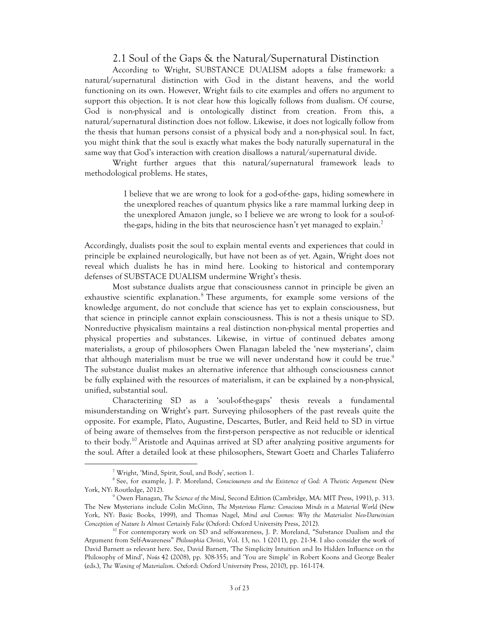#### 2.1 Soul of the Gaps & the Natural/Supernatural Distinction

According to Wright, SUBSTANCE DUALISM adopts a false framework: a natural/supernatural distinction with God in the distant heavens, and the world functioning on its own. However, Wright fails to cite examples and offers no argument to support this objection. It is not clear how this logically follows from dualism. Of course, God is non-physical and is ontologically distinct from creation. From this, a natural/supernatural distinction does not follow. Likewise, it does not logically follow from the thesis that human persons consist of a physical body and a non-physical soul. In fact, you might think that the soul is exactly what makes the body naturally supernatural in the same way that God's interaction with creation disallows a natural/supernatural divide.

Wright further argues that this natural/supernatural framework leads to methodological problems. He states,

> I believe that we are wrong to look for a god-of-the- gaps, hiding somewhere in the unexplored reaches of quantum physics like a rare mammal lurking deep in the unexplored Amazon jungle, so I believe we are wrong to look for a soul-ofthe-gaps, hiding in the bits that neuroscience hasn't yet managed to explain.<sup>7</sup>

Accordingly, dualists posit the soul to explain mental events and experiences that could in principle be explained neurologically, but have not been as of yet. Again, Wright does not reveal which dualists he has in mind here. Looking to historical and contemporary defenses of SUBSTACE DUALISM undermine Wright's thesis.

Most substance dualists argue that consciousness cannot in principle be given an exhaustive scientific explanation.<sup>8</sup> These arguments, for example some versions of the knowledge argument, do not conclude that science has yet to explain consciousness, but that science in principle cannot explain consciousness. This is not a thesis unique to SD. Nonreductive physicalism maintains a real distinction non-physical mental properties and physical properties and substances. Likewise, in virtue of continued debates among materialists, a group of philosophers Owen Flanagan labeled the 'new mysterians', claim that although materialism must be true we will never understand how it could be true.<sup>9</sup> The substance dualist makes an alternative inference that although consciousness cannot be fully explained with the resources of materialism, it can be explained by a non-physical, unified, substantial soul.

Characterizing SD as a 'soul-of-the-gaps' thesis reveals a fundamental misunderstanding on Wright's part. Surveying philosophers of the past reveals quite the opposite. For example, Plato, Augustine, Descartes, Butler, and Reid held to SD in virtue of being aware of themselves from the first-person perspective as not reducible or identical to their body.<sup>10</sup> Aristotle and Aquinas arrived at SD after analyzing positive arguments for the soul. After a detailed look at these philosophers, Stewart Goetz and Charles Taliaferro

<sup>7</sup> Wright, 'Mind, Spirit, Soul, and Body', section 1.

<sup>8</sup> See, for example, J. P. Moreland, *Consciousness and the Existence of God: A Theistic Argument* (New York, NY: Routledge, 2012).

<sup>9</sup> Owen Flanagan, *The Science of the Mind*, Second Edition (Cambridge, MA: MIT Press, 1991), p. 313. The New Mysterians include Colin McGinn, *The Mysterious Flame: Conscious Minds in a Material World* (New York, NY: Basic Books, 1999), and Thomas Nagel, *Mind and Cosmos: Why the Materialist Neo-Darwinian Conception of Nature Is Almost Certainly False* (Oxford: Oxford University Press, 2012).

<sup>&</sup>lt;sup>10</sup> For contemporary work on SD and self-awareness, J. P. Moreland, "Substance Dualism and the Argument from Self-Awareness" *Philosophia Christi*, Vol. 13, no. 1 (2011), pp. 21-34. I also consider the work of David Barnett as relevant here. See, David Barnett, 'The Simplicity Intuition and Its Hidden Influence on the Philosophy of Mind', *Noûs* 42 (2008), pp. 308-355; and 'You are Simple' in Robert Koons and George Bealer (eds.), *The Waning of Materialism*. Oxford: Oxford University Press, 2010), pp. 161-174.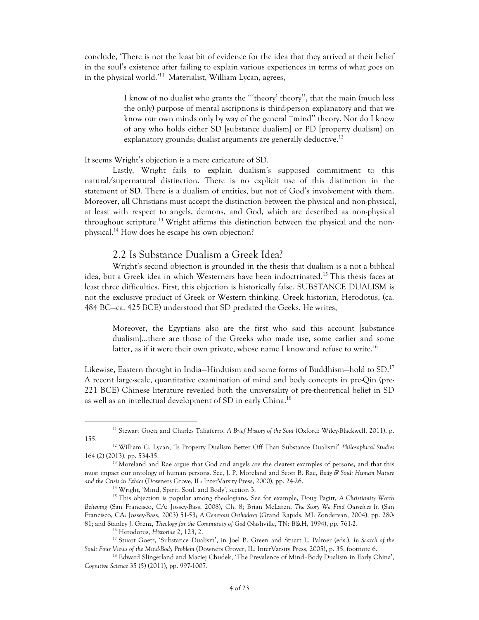conclude, 'There is not the least bit of evidence for the idea that they arrived at their belief in the soul's existence after failing to explain various experiences in terms of what goes on in the physical world.' 11 Materialist, William Lycan, agrees,

> I know of no dualist who grants the '''theory' theory'', that the main (much less the only) purpose of mental ascriptions is third-person explanatory and that we know our own minds only by way of the general ''mind'' theory. Nor do I know of any who holds either SD [substance dualism] or PD [property dualism] on explanatory grounds; dualist arguments are generally deductive.<sup>12</sup>

#### It seems Wright's objection is a mere caricature of SD.

Lastly, Wright fails to explain dualism's supposed commitment to this natural/supernatural distinction. There is no explicit use of this distinction in the statement of **SD**. There is a dualism of entities, but not of God's involvement with them. Moreover, all Christians must accept the distinction between the physical and non-physical, at least with respect to angels, demons, and God, which are described as non-physical throughout scripture.<sup>13</sup> Wright affirms this distinction between the physical and the nonphysical. <sup>14</sup> How does he escape his own objection?

#### 2.2 Is Substance Dualism a Greek Idea?

Wright's second objection is grounded in the thesis that dualism is a not a biblical idea, but a Greek idea in which Westerners have been indoctrinated. <sup>15</sup> This thesis faces at least three difficulties. First, this objection is historically false. SUBSTANCE DUALISM is not the exclusive product of Greek or Western thinking. Greek historian, Herodotus, (ca. 484 BC—ca. 425 BCE) understood that SD predated the Geeks. He writes,

Moreover, the Egyptians also are the first who said this account [substance dualism]…there are those of the Greeks who made use, some earlier and some latter, as if it were their own private, whose name I know and refuse to write.<sup>16</sup>

Likewise, Eastern thought in India–Hinduism and some forms of Buddhism–hold to SD.<sup>17</sup> A recent large-scale, quantitative examination of mind and body concepts in pre-Qin (pre-221 BCE) Chinese literature revealed both the universality of pre-theoretical belief in SD as well as an intellectual development of SD in early China.<sup>18</sup>

<sup>11</sup> Stewart Goetz and Charles Taliaferro, *A Brief History of the Soul* (Oxford: Wiley-Blackwell, 2011), p. 155.

<sup>12</sup> William G. Lycan, 'Is Property Dualism Better Off Than Substance Dualism?' *Philosophical Studies* 164 (2) (2013), pp. 534-35.

<sup>&</sup>lt;sup>13</sup> Moreland and Rae argue that God and angels are the clearest examples of persons, and that this must impact our ontology of human persons. See, J. P. Moreland and Scott B. Rae, *Body & Soul: Human Nature and the Crisis in Ethics* (Downers Grove, IL: InterVarsity Press, 2000), pp. 24-26.

<sup>14</sup> Wright, 'Mind, Spirit, Soul, and Body', section 3.

<sup>15</sup> This objection is popular among theologians. See for example, Doug Pagitt, *A Christianity Worth Believing* (San Francisco, CA: Jossey-Bass, 2008), Ch. 8; Brian McLaren, *The Story We Find Ourselves In* (San Francisco, CA: Jossey-Bass, 2003) 51-53; *A Generous Orthodoxy* (Grand Rapids, MI: Zondervan, 2004), pp. 280- 81; and Stanley J. Grenz, *Theology for the Community of God* (Nashville, TN: B&H, 1994), pp. 761-2. 16 Herodotus, *Historiae* 2, 123, 2.

<sup>17</sup> Stuart Goetz, 'Substance Dualism', in Joel B. Green and Stuart L. Palmer (eds.), *In Search of the Soul: Four Views of the Mind-Body Problem* (Downers Grover, IL: InterVarsity Press, 2005), p. 35, footnote 6.

<sup>&</sup>lt;sup>18</sup> Edward Slingerland and Maciej Chudek, 'The Prevalence of Mind-Body Dualism in Early China', *Cognitive Science* 35 (5) (2011), pp. 997-1007.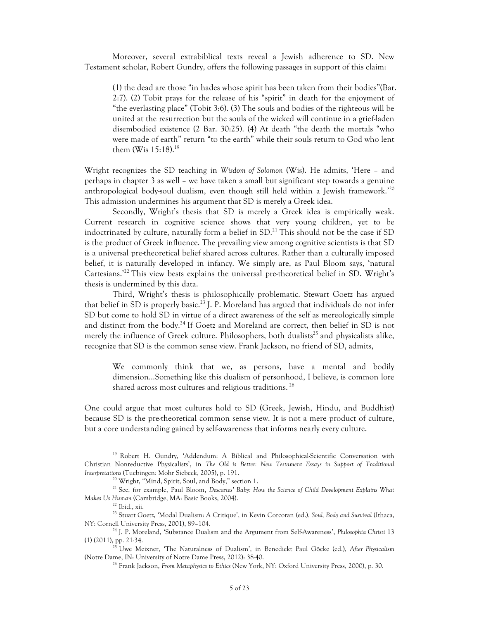Moreover, several extrabiblical texts reveal a Jewish adherence to SD. New Testament scholar, Robert Gundry, offers the following passages in support of this claim:

(1) the dead are those "in hades whose spirit has been taken from their bodies"(Bar. 2:7). (2) Tobit prays for the release of his "spirit" in death for the enjoyment of "the everlasting place" (Tobit 3:6). (3) The souls and bodies of the righteous will be united at the resurrection but the souls of the wicked will continue in a grief-laden disembodied existence (2 Bar. 30:25). (4) At death "the death the mortals "who were made of earth" return "to the earth" while their souls return to God who lent them (Wis  $15:18$ ).<sup>19</sup>

Wright recognizes the SD teaching in *Wisdom of Solomon* (Wis). He admits, 'Here – and perhaps in chapter 3 as well – we have taken a small but significant step towards a genuine anthropological body-soul dualism, even though still held within a Jewish framework.' 20 This admission undermines his argument that SD is merely a Greek idea.

Secondly, Wright's thesis that SD is merely a Greek idea is empirically weak. Current research in cognitive science shows that very young children, yet to be indoctrinated by culture, naturally form a belief in SD. <sup>21</sup> This should not be the case if SD is the product of Greek influence. The prevailing view among cognitive scientists is that SD is a universal pre-theoretical belief shared across cultures. Rather than a culturally imposed belief, it is naturally developed in infancy. We simply are, as Paul Bloom says, 'natural Cartesians.<sup>22</sup> This view bests explains the universal pre-theoretical belief in SD. Wright's thesis is undermined by this data.

Third, Wright's thesis is philosophically problematic. Stewart Goetz has argued that belief in SD is properly basic.<sup>23</sup> J. P. Moreland has argued that individuals do not infer SD but come to hold SD in virtue of a direct awareness of the self as mereologically simple and distinct from the body.<sup>24</sup> If Goetz and Moreland are correct, then belief in SD is not merely the influence of Greek culture. Philosophers, both dualists<sup>25</sup> and physicalists alike, recognize that SD is the common sense view. Frank Jackson, no friend of SD, admits,

We commonly think that we, as persons, have a mental and bodily dimension…Something like this dualism of personhood, I believe, is common lore shared across most cultures and religious traditions. <sup>26</sup>

One could argue that most cultures hold to SD (Greek, Jewish, Hindu, and Buddhist) because SD is the pre-theoretical common sense view. It is not a mere product of culture, but a core understanding gained by self-awareness that informs nearly every culture.

<sup>&</sup>lt;sup>19</sup> Robert H. Gundry, 'Addendum: A Biblical and Philosophical-Scientific Conversation with Christian Nonreductive Physicalists', in *The Old is Better: New Testament Essays in Support of Traditional Interpretations* (Tuebingen: Mohr Siebeck, 2005), p. 191.

<sup>&</sup>lt;sup>20</sup> Wright, "Mind, Spirit, Soul, and Body," section 1.<br><sup>21</sup> See, for example, Paul Bloom, *Descartes' Baby: How the Science of Child Development Explains What Makes Us Human* (Cambridge, MA: Basic Books, 2004). 22 Ibid., xii.

<sup>23</sup> Stuart Goetz, 'Modal Dualism: A Critique', in Kevin Corcoran (ed.), *Soul, Body and Survival* (Ithaca, NY: Cornell University Press, 2001), 89–104.

<sup>24</sup> J. P. Moreland, 'Substance Dualism and the Argument from Self-Awareness', *Philosophia Christi* 13 (1) (2011), pp. 21-34.

<sup>25</sup> Uwe Meixner, 'The Naturalness of Dualism', in Benedickt Paul Göcke (ed.), *After Physicalism* (Notre Dame, IN: University of Notre Dame Press, 2012): 38-40.

<sup>26</sup> Frank Jackson, *From Metaphysics to Ethics* (New York, NY: Oxford University Press, 2000), p. 30.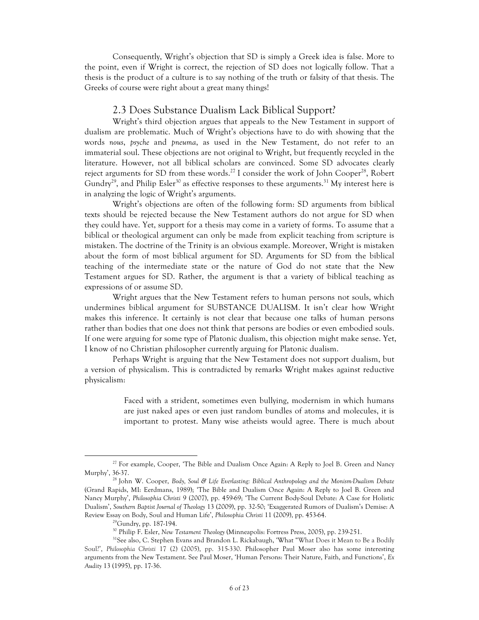Consequently, Wright's objection that SD is simply a Greek idea is false. More to the point, even if Wright is correct, the rejection of SD does not logically follow. That a thesis is the product of a culture is to say nothing of the truth or falsity of that thesis. The Greeks of course were right about a great many things!

#### 2.3 Does Substance Dualism Lack Biblical Support?

Wright's third objection argues that appeals to the New Testament in support of dualism are problematic. Much of Wright's objections have to do with showing that the words *nous*, *psyche* and *pneuma*, as used in the New Testament, do not refer to an immaterial soul. These objections are not original to Wright, but frequently recycled in the literature. However, not all biblical scholars are convinced. Some SD advocates clearly reject arguments for SD from these words.<sup>27</sup> I consider the work of John Cooper<sup>28</sup>, Robert Gundry<sup>29</sup>, and Philip Esler<sup>30</sup> as effective responses to these arguments.<sup>31</sup> My interest here is in analyzing the logic of Wright's arguments.

Wright's objections are often of the following form: SD arguments from biblical texts should be rejected because the New Testament authors do not argue for SD when they could have. Yet, support for a thesis may come in a variety of forms. To assume that a biblical or theological argument can only be made from explicit teaching from scripture is mistaken. The doctrine of the Trinity is an obvious example. Moreover, Wright is mistaken about the form of most biblical argument for SD. Arguments for SD from the biblical teaching of the intermediate state or the nature of God do not state that the New Testament argues for SD. Rather, the argument is that a variety of biblical teaching as expressions of or assume SD.

Wright argues that the New Testament refers to human persons not souls, which undermines biblical argument for SUBSTANCE DUALISM. It isn't clear how Wright makes this inference. It certainly is not clear that because one talks of human persons rather than bodies that one does not think that persons are bodies or even embodied souls. If one were arguing for some type of Platonic dualism, this objection might make sense. Yet, I know of no Christian philosopher currently arguing for Platonic dualism.

Perhaps Wright is arguing that the New Testament does not support dualism, but a version of physicalism. This is contradicted by remarks Wright makes against reductive physicalism:

> Faced with a strident, sometimes even bullying, modernism in which humans are just naked apes or even just random bundles of atoms and molecules, it is important to protest. Many wise atheists would agree. There is much about

<sup>&</sup>lt;sup>27</sup> For example, Cooper, 'The Bible and Dualism Once Again: A Reply to Joel B. Green and Nancy Murphy', 36-37.

<sup>28</sup> John W. Cooper, *Body, Soul & Life Everlasting: Biblical Anthropology and the Monism-Dualism Debate* (Grand Rapids, MI: Eerdmans, 1989); 'The Bible and Dualism Once Again: A Reply to Joel B. Green and Nancy Murphy', *Philosophia Christi* 9 (2007), pp. 459-69; 'The Current Body-Soul Debate: A Case for Holistic Dualism', *Southern Baptist Journal of Theology* 13 (2009), pp. 32-50; 'Exaggerated Rumors of Dualism's Demise: A Review Essay on Body, Soul and Human Life', *Philosophia Christi* 11 (2009), pp. 453-64.

 $^{29}$ Gundry, pp. 187-194.

<sup>30</sup> Philip F. Esler, *New Testament Theology* (Minneapolis: Fortress Press, 2005), pp. 239-251.

<sup>&</sup>lt;sup>31</sup>See also, C. Stephen Evans and Brandon L. Rickabaugh, 'What "What Does it Mean to Be a Bodily Soul?', *Philosophia Christi* 17 (2) (2005), pp. 315-330. Philosopher Paul Moser also has some interesting arguments from the New Testament. See Paul Moser, 'Human Persons: Their Nature, Faith, and Functions', *Ex Audity* 13 (1995), pp. 17-36.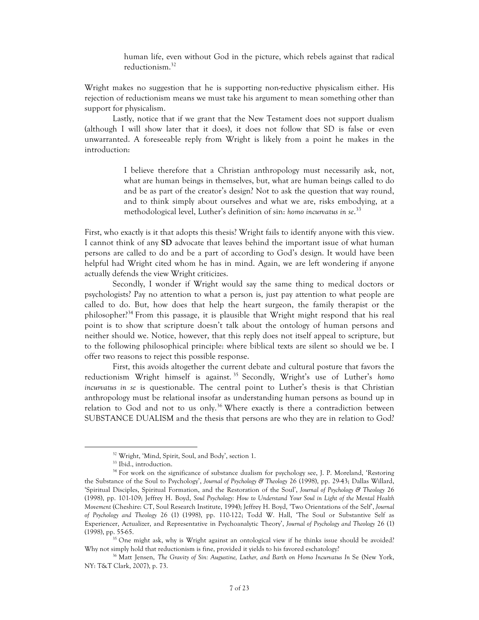human life, even without God in the picture, which rebels against that radical reductionism.<sup>32</sup>

Wright makes no suggestion that he is supporting non-reductive physicalism either. His rejection of reductionism means we must take his argument to mean something other than support for physicalism.

Lastly, notice that if we grant that the New Testament does not support dualism (although I will show later that it does), it does not follow that SD is false or even unwarranted. A foreseeable reply from Wright is likely from a point he makes in the introduction:

> I believe therefore that a Christian anthropology must necessarily ask, not, what are human beings in themselves, but, what are human beings called to do and be as part of the creator's design? Not to ask the question that way round, and to think simply about ourselves and what we are, risks embodying, at a methodological level, Luther's definition of sin: *homo incurvatus in se*. 33

First, who exactly is it that adopts this thesis? Wright fails to identify anyone with this view. I cannot think of any **SD** advocate that leaves behind the important issue of what human persons are called to do and be a part of according to God's design. It would have been helpful had Wright cited whom he has in mind. Again, we are left wondering if anyone actually defends the view Wright criticizes.

Secondly, I wonder if Wright would say the same thing to medical doctors or psychologists? Pay no attention to what a person is, just pay attention to what people are called to do. But, how does that help the heart surgeon, the family therapist or the philosopher?<sup>34</sup> From this passage, it is plausible that Wright might respond that his real point is to show that scripture doesn't talk about the ontology of human persons and neither should we. Notice, however, that this reply does not itself appeal to scripture, but to the following philosophical principle: where biblical texts are silent so should we be. I offer two reasons to reject this possible response.

First, this avoids altogether the current debate and cultural posture that favors the reductionism Wright himself is against. <sup>35</sup> Secondly, Wright's use of Luther's *homo incurvatus in se* is questionable. The central point to Luther's thesis is that Christian anthropology must be relational insofar as understanding human persons as bound up in relation to God and not to us only.<sup>36</sup> Where exactly is there a contradiction between SUBSTANCE DUALISM and the thesis that persons are who they are in relation to God?

<sup>32</sup> Wright, 'Mind, Spirit, Soul, and Body', section 1.

<sup>33</sup> Ibid., introduction.

<sup>&</sup>lt;sup>34</sup> For work on the significance of substance dualism for psychology see, J. P. Moreland, 'Restoring the Substance of the Soul to Psychology', *Journal of Psychology & Theology* 26 (1998), pp. 29-43; Dallas Willard, 'Spiritual Disciples, Spiritual Formation, and the Restoration of the Soul', *Journal of Psychology & Theology* 26 (1998), pp. 101-109; Jeffrey H. Boyd, *Soul Psychology: How to Understand Your Soul in Light of the Mental Health Movement* (Cheshire: CT, Soul Research Institute, 1994); Jeffrey H. Boyd, 'Two Orientations of the Self', *Journal of Psychology and Theology* 26 (1) (1998), pp. 110-122; Todd W. Hall, 'The Soul or Substantive Self as Experiencer, Actualizer, and Representative in Psychoanalytic Theory', *Journal of Psychology and Theology* 26 (1) (1998), pp. 55-65.

<sup>&</sup>lt;sup>35</sup> One might ask, why is Wright against an ontological view if he thinks issue should be avoided? Why not simply hold that reductionism is fine, provided it yields to his favored eschatology?

<sup>&</sup>lt;sup>36</sup> Matt Jensen, *The Gravity of Sin: Augustine, Luther, and Barth on Homo Incurvatus In Se (New York,* NY: T&T Clark, 2007), p. 73.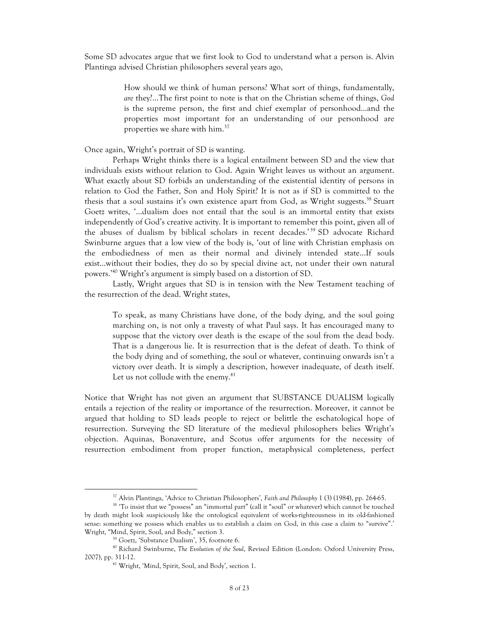Some SD advocates argue that we first look to God to understand what a person is. Alvin Plantinga advised Christian philosophers several years ago,

> How should we think of human persons? What sort of things, fundamentally, *are* they?...The first point to note is that on the Christian scheme of things, *God* is the supreme person, the first and chief exemplar of personhood…and the properties most important for an understanding of our personhood are properties we share with him.<sup>37</sup>

Once again, Wright's portrait of SD is wanting.

Perhaps Wright thinks there is a logical entailment between SD and the view that individuals exists without relation to God. Again Wright leaves us without an argument. What exactly about SD forbids an understanding of the existential identity of persons in relation to God the Father, Son and Holy Spirit? It is not as if SD is committed to the thesis that a soul sustains it's own existence apart from God, as Wright suggests.<sup>38</sup> Stuart Goetz writes, '…dualism does not entail that the soul is an immortal entity that exists independently of God's creative activity. It is important to remember this point, given all of the abuses of dualism by biblical scholars in recent decades.' <sup>39</sup> SD advocate Richard Swinburne argues that a low view of the body is, 'out of line with Christian emphasis on the embodiedness of men as their normal and divinely intended state...If souls exist…without their bodies, they do so by special divine act, not under their own natural powers.' <sup>40</sup> Wright's argument is simply based on a distortion of SD.

Lastly, Wright argues that SD is in tension with the New Testament teaching of the resurrection of the dead. Wright states,

To speak, as many Christians have done, of the body dying, and the soul going marching on, is not only a travesty of what Paul says. It has encouraged many to suppose that the victory over death is the escape of the soul from the dead body. That is a dangerous lie. It is resurrection that is the defeat of death. To think of the body dying and of something, the soul or whatever, continuing onwards isn't a victory over death. It is simply a description, however inadequate, of death itself. Let us not collude with the enemy. $41$ 

Notice that Wright has not given an argument that SUBSTANCE DUALISM logically entails a rejection of the reality or importance of the resurrection. Moreover, it cannot be argued that holding to SD leads people to reject or belittle the eschatological hope of resurrection. Surveying the SD literature of the medieval philosophers belies Wright's objection. Aquinas, Bonaventure, and Scotus offer arguments for the necessity of resurrection embodiment from proper function, metaphysical completeness, perfect

<sup>37</sup> Alvin Plantinga, 'Advice to Christian Philosophers', *Faith and Philosophy* 1 (3) (1984), pp. 264-65.

<sup>38</sup> 'To insist that we "possess" an "immortal part" (call it "soul" or whatever) which cannot be touched by death might look suspiciously like the ontological equivalent of works-righteousness in its old-fashioned sense: something we possess which enables us to establish a claim on God, in this case a claim to "survive".' Wright, "Mind, Spirit, Soul, and Body," section 3.

<sup>39</sup> Goetz, 'Substance Dualism', 35, footnote 6.

<sup>40</sup> Richard Swinburne, *The Evolution of the Soul*, Revised Edition (London: Oxford University Press, 2007), pp. 311-12.

<sup>41</sup> Wright, 'Mind, Spirit, Soul, and Body', section 1.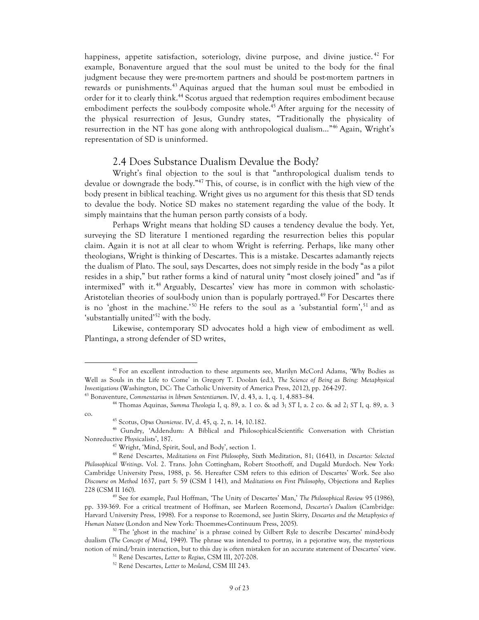happiness, appetite satisfaction, soteriology, divine purpose, and divine justice.<sup>42</sup> For example, Bonaventure argued that the soul must be united to the body for the final judgment because they were pre-mortem partners and should be post-mortem partners in rewards or punishments.<sup>43</sup> Aquinas argued that the human soul must be embodied in order for it to clearly think.<sup>44</sup> Scotus argued that redemption requires embodiment because embodiment perfects the soul-body composite whole.<sup>45</sup> After arguing for the necessity of the physical resurrection of Jesus, Gundry states, "Traditionally the physicality of resurrection in the NT has gone along with anthropological dualism..."<sup>46</sup> Again, Wright's representation of SD is uninformed.

#### 2.4 Does Substance Dualism Devalue the Body?

Wright's final objection to the soul is that "anthropological dualism tends to devalue or downgrade the body."<sup>47</sup> This, of course, is in conflict with the high view of the body present in biblical teaching. Wright gives us no argument for this thesis that SD tends to devalue the body. Notice SD makes no statement regarding the value of the body. It simply maintains that the human person partly consists of a body.

Perhaps Wright means that holding SD causes a tendency devalue the body. Yet, surveying the SD literature I mentioned regarding the resurrection belies this popular claim. Again it is not at all clear to whom Wright is referring. Perhaps, like many other theologians, Wright is thinking of Descartes. This is a mistake. Descartes adamantly rejects the dualism of Plato. The soul, says Descartes, does not simply reside in the body "as a pilot resides in a ship," but rather forms a kind of natural unity "most closely joined" and "as if intermixed" with it.<sup>48</sup> Arguably, Descartes' view has more in common with scholastic-Aristotelian theories of soul-body union than is popularly portrayed.<sup>49</sup> For Descartes there is no 'ghost in the machine.'<sup>50</sup> He refers to the soul as a 'substantial form',<sup>51</sup> and as 'substantially united'<sup>52</sup> with the body.

Likewise, contemporary SD advocates hold a high view of embodiment as well. Plantinga, a strong defender of SD writes,

 $42$  For an excellent introduction to these arguments see, Marilyn McCord Adams, 'Why Bodies as Well as Souls in the Life to Come' in Gregory T. Doolan (ed.), *The Science of Being as Being: Metaphysical Investigations* (Washington, DC: The Catholic University of America Press, 2012), pp. 264-297. <sup>43</sup> Bonaventure, *Commentarius in librum Sententiarum*. IV, d. 43, a. 1, q. 1, 4.883–84.

<sup>44</sup> Thomas Aquinas, *Summa Theologia* I, q. 89, a. 1 co. & ad 3; *ST* I, a. 2 co. & ad 2; *ST* I, q. 89, a. 3 co.

<sup>45</sup> Scotus, *Opus Oxoniense*. IV, d. 45, q. 2, n. 14, 10.182.

<sup>46</sup> Gundry, 'Addendum: A Biblical and Philosophical-Scientific Conversation with Christian Nonreductive Physicalists', 187.

<sup>47</sup> Wright, 'Mind, Spirit, Soul, and Body', section 1.

<sup>48</sup> René Descartes, *Meditations on First Philosophy*, Sixth Meditation, 81; (1641), in *Descartes: Selected Philosophical Writings*. Vol. 2. Trans. John Cottingham, Robert Stoothoff, and Dugald Murdoch. New York: Cambridge University Press, 1988, p. 56. Hereafter CSM refers to this edition of Descartes' Work. See also *Discourse on Method* 1637, part 5: 59 (CSM I 141), and *Meditations on First Philosophy*, Objections and Replies 228 (CSM II 160).

<sup>49</sup> See for example, Paul Hoffman, 'The Unity of Descartes' Man,' *The Philosophical Review* 95 (1986), pp. 339-369. For a critical treatment of Hoffman, see Marleen Rozemond, *Descartes's Dualism* (Cambridge: Harvard University Press, 1998). For a response to Rozemond, see Justin Skirry, *Descartes and the Metaphysics of Human Nature* (London and New York: Thoemmes-Continuum Press, 2005).

 $50$  The 'ghost in the machine' is a phrase coined by Gilbert Ryle to describe Descartes' mind-body dualism (*The Concept of Mind*, 1949). The phrase was intended to portray, in a pejorative way, the mysterious notion of mind/brain interaction, but to this day is often mistaken for an accurate statement of Descartes' view.

<sup>51</sup> René Descartes, *Letter to Regius*, CSM III, 207-208.

<sup>52</sup> René Descartes, *Letter to Mesland*, CSM III 243.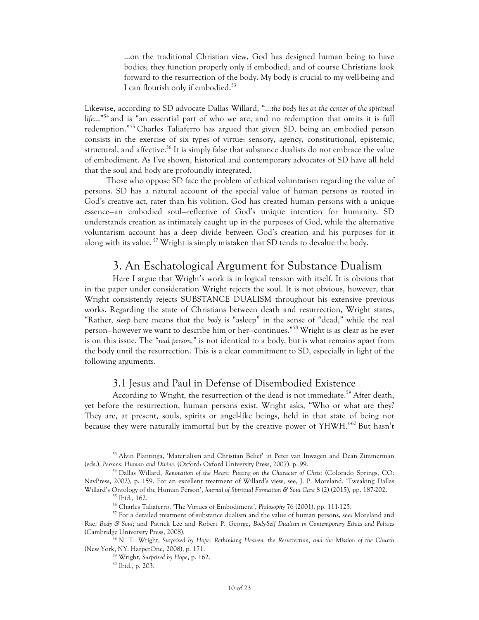…on the traditional Christian view, God has designed human being to have bodies; they function properly only if embodied; and of course Christians look forward to the resurrection of the body. My body is crucial to my well-being and I can flourish only if embodied.<sup>53</sup>

Likewise, according to SD advocate Dallas Willard, "…*the body lies at the center of the spiritual life*…"<sup>54</sup> and is "an essential part of who we are, and no redemption that omits it is full redemption."<sup>55</sup> Charles Taliaferro has argued that given SD, being an embodied person consists in the exercise of six types of virtue: sensory, agency, constitutional, epistemic, structural, and affective.<sup>56</sup> It is simply false that substance dualists do not embrace the value of embodiment. As I've shown, historical and contemporary advocates of SD have all held that the soul and body are profoundly integrated.

Those who oppose SD face the problem of ethical voluntarism regarding the value of persons. SD has a natural account of the special value of human persons as rooted in God's creative act, rater than his volition. God has created human persons with a unique essence—an embodied soul—reflective of God's unique intention for humanity. SD understands creation as intimately caught up in the purposes of God, while the alternative voluntarism account has a deep divide between God's creation and his purposes for it along with its value.<sup>57</sup> Wright is simply mistaken that SD tends to devalue the body.

### 3. An Eschatological Argument for Substance Dualism

Here I argue that Wright's work is in logical tension with itself. It is obvious that in the paper under consideration Wright rejects the soul. It is not obvious, however, that Wright consistently rejects SUBSTANCE DUALISM throughout his extensive previous works. Regarding the state of Christians between death and resurrection, Wright states, "Rather, *sleep* here means that the *body* is "asleep" in the sense of "dead," while the real person—however we want to describe him or her—continues."<sup>58</sup> Wright is as clear as he ever is on this issue. The *"real person,"* is not identical to a body, but is what remains apart from the body until the resurrection. This is a clear commitment to SD, especially in light of the following arguments.

### 3.1 Jesus and Paul in Defense of Disembodied Existence

According to Wright, the resurrection of the dead is not immediate.<sup>59</sup> After death, yet before the resurrection, human persons exist. Wright asks, "Who or what are they? They are, at present, souls, spirits or angel-like beings, held in that state of being not because they were naturally immortal but by the creative power of YHWH."<sup>60</sup> But hasn't

<sup>53</sup> Alvin Plantinga, 'Materialism and Christian Belief' in Peter van Inwagen and Dean Zimmerman (eds.), *Persons: Human and Divine*, (Oxford: Oxford University Press, 2007), p. 99.

<sup>54</sup> Dallas Willard, *Renovation of the Heart: Putting on the Character of Christ* (Colorado Springs, CO: NavPress, 2002), p. 159. For an excellent treatment of Willard's view, see, J. P. Moreland, 'Tweaking Dallas Willard's Ontology of the Human Person', *Journal of Spiritual Formation & Soul Care* 8 (2) (2015), pp. 187-202.<br><sup>55</sup> Ibid., 162.

<sup>56</sup> Charles Taliaferro, 'The Virtues of Embodiment', *Philosophy* 76 (2001), pp. 111-125.

<sup>&</sup>lt;sup>57</sup> For a detailed treatment of substance dualism and the value of human persons, see: Moreland and Rae, *Body & Soul*; and Patrick Lee and Robert P. George, *Body-Self Dualism in Contemporary Ethics and Politics* (Cambridge University Press, 2008).

<sup>58</sup> N. T. Wright, *Surprised by Hope: Rethinking Heaven, the Resurrection, and the Mission of the Church* (New York, NY: HarperOne, 2008), p. 171.

<sup>59</sup> Wright, *Surprised by Hope*, p. 162.

<sup>60</sup> Ibid., p. 203.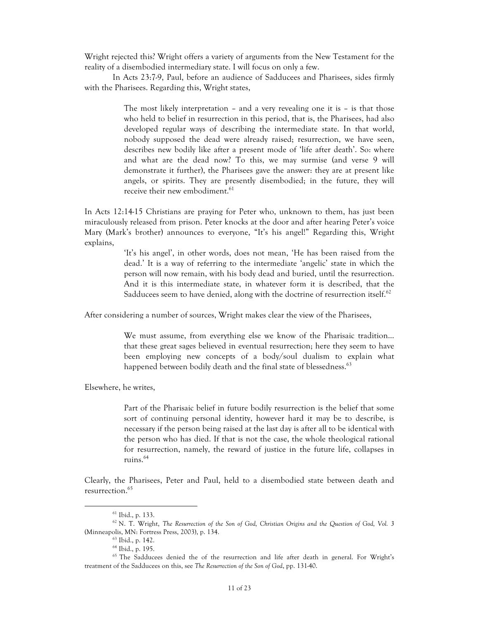Wright rejected this? Wright offers a variety of arguments from the New Testament for the reality of a disembodied intermediary state. I will focus on only a few.

In Acts 23:7-9, Paul, before an audience of Sadducees and Pharisees, sides firmly with the Pharisees. Regarding this, Wright states,

> The most likely interpretation – and a very revealing one it is – is that those who held to belief in resurrection in this period, that is, the Pharisees, had also developed regular ways of describing the intermediate state. In that world, nobody supposed the dead were already raised; resurrection, we have seen, describes new bodily like after a present mode of 'life after death'. So: where and what are the dead now? To this, we may surmise (and verse 9 will demonstrate it further), the Pharisees gave the answer: they are at present like angels, or spirits. They are presently disembodied; in the future, they will receive their new embodiment.<sup>61</sup>

In Acts 12:14-15 Christians are praying for Peter who, unknown to them, has just been miraculously released from prison. Peter knocks at the door and after hearing Peter's voice Mary (Mark's brother) announces to everyone, "It's his angel!" Regarding this, Wright explains,

> 'It's his angel', in other words, does not mean, 'He has been raised from the dead.' It is a way of referring to the intermediate 'angelic' state in which the person will now remain, with his body dead and buried, until the resurrection. And it is this intermediate state, in whatever form it is described, that the Sadducees seem to have denied, along with the doctrine of resurrection itself.<sup>62</sup>

After considering a number of sources, Wright makes clear the view of the Pharisees,

We must assume, from everything else we know of the Pharisaic tradition… that these great sages believed in eventual resurrection; here they seem to have been employing new concepts of a body/soul dualism to explain what happened between bodily death and the final state of blessedness.<sup>63</sup>

Elsewhere, he writes,

Part of the Pharisaic belief in future bodily resurrection is the belief that some sort of continuing personal identity, however hard it may be to describe, is necessary if the person being raised at the last day is after all to be identical with the person who has died. If that is not the case, the whole theological rational for resurrection, namely, the reward of justice in the future life, collapses in ruins.<sup>64</sup>

Clearly, the Pharisees, Peter and Paul, held to a disembodied state between death and resurrection.<sup>65</sup>

<sup>61</sup> Ibid., p. 133.

<sup>62</sup> N. T. Wright, *The Resurrection of the Son of God, Christian Origins and the Question of God, Vol. 3* (Minneapolis, MN: Fortress Press, 2003), p. 134.

<sup>63</sup> Ibid., p. 142.

<sup>64</sup> Ibid., p. 195.

<sup>&</sup>lt;sup>65</sup> The Sadducees denied the of the resurrection and life after death in general. For Wright's treatment of the Sadducees on this, see *The Resurrection of the Son of God*, pp. 131-40.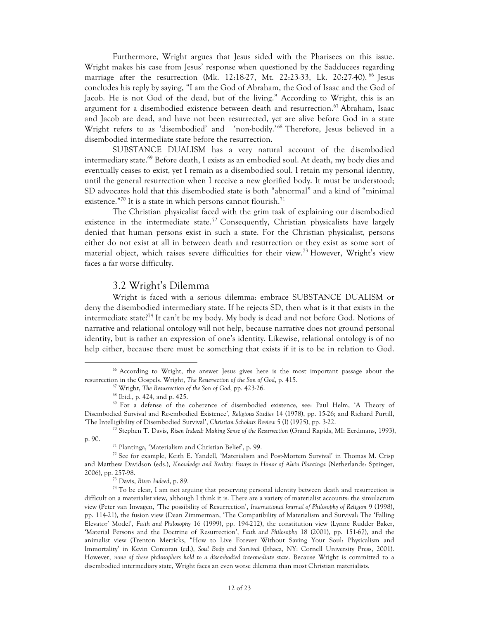Furthermore, Wright argues that Jesus sided with the Pharisees on this issue. Wright makes his case from Jesus' response when questioned by the Sadducees regarding marriage after the resurrection (Mk. 12:18-27, Mt. 22:23-33, Lk. 20:27-40). <sup>66</sup> Jesus concludes his reply by saying, "I am the God of Abraham, the God of Isaac and the God of Jacob. He is not God of the dead, but of the living." According to Wright, this is an argument for a disembodied existence between death and resurrection. <sup>67</sup> Abraham, Isaac and Jacob are dead, and have not been resurrected, yet are alive before God in a state Wright refers to as 'disembodied' and 'non-bodily.' <sup>68</sup> Therefore, Jesus believed in a disembodied intermediate state before the resurrection.

SUBSTANCE DUALISM has a very natural account of the disembodied intermediary state.<sup>69</sup> Before death, I exists as an embodied soul. At death, my body dies and eventually ceases to exist, yet I remain as a disembodied soul. I retain my personal identity, until the general resurrection when I receive a new glorified body. It must be understood; SD advocates hold that this disembodied state is both "abnormal" and a kind of "minimal existence." $^{70}$  It is a state in which persons cannot flourish. $^{71}$ 

The Christian physicalist faced with the grim task of explaining our disembodied existence in the intermediate state.<sup>72</sup> Consequently, Christian physicalists have largely denied that human persons exist in such a state. For the Christian physicalist, persons either do not exist at all in between death and resurrection or they exist as some sort of material object, which raises severe difficulties for their view.<sup>73</sup> However, Wright's view faces a far worse difficulty.

#### 3.2 Wright's Dilemma

Wright is faced with a serious dilemma: embrace SUBSTANCE DUALISM or deny the disembodied intermediary state. If he rejects SD, then what is it that exists in the intermediate state?<sup>74</sup> It can't be my body. My body is dead and not before God. Notions of narrative and relational ontology will not help, because narrative does not ground personal identity, but is rather an expression of one's identity. Likewise, relational ontology is of no help either, because there must be something that exists if it is to be in relation to God.

 

<sup>73</sup> Davis, *Risen Indeed*, p. 89.

<sup>&</sup>lt;sup>66</sup> According to Wright, the answer Jesus gives here is the most important passage about the resurrection in the Gospels. Wright, *The Resurrection of the Son of God*, p. 415.

<sup>67</sup> Wright, *The Resurrection of the Son of God*, pp. 423-26.

<sup>68</sup> Ibid., p. 424, and p. 425.

<sup>69</sup> For a defense of the coherence of disembodied existence, see: Paul Helm, 'A Theory of Disembodied Survival and Re-embodied Existence', *Religious Studies* 14 (1978), pp. 15-26; and Richard Purtill, 'The Intelligibility of Disembodied Survival', *Christian Scholars Review* 5 (I) (1975), pp. 3-22.

<sup>70</sup> Stephen T. Davis, *Risen Indeed: Making Sense of the Resurrection* (Grand Rapids, MI: Eerdmans, 1993), p. 90.

<sup>71</sup> Plantinga, 'Materialism and Christian Belief', p. 99.

 $72$  See for example, Keith E. Yandell, 'Materialism and Post-Mortem Survival' in Thomas M. Crisp and Matthew Davidson (eds.), *Knowledge and Reality: Essays in Honor of Alvin Plantinga* (Netherlands: Springer, 2006), pp. 257-98.

<sup>&</sup>lt;sup>74</sup> To be clear, I am not arguing that preserving personal identity between death and resurrection is difficult on a materialist view, although I think it is. There are a variety of materialist accounts: the simulacrum view (Peter van Inwagen, 'The possibility of Resurrection', *International Journal of Philosophy of Religion* 9 (1998), pp. 114-21), the fusion view (Dean Zimmerman, 'The Compatibility of Materialism and Survival: The 'Falling Elevator' Model', *Faith and Philosophy* 16 (1999), pp. 194-212), the constitution view (Lynne Rudder Baker, 'Material Persons and the Doctrine of Resurrection', *Faith and Philosophy* 18 (2001), pp. 151-67), and the animalist view (Trenton Merricks, "How to Live Forever Without Saving Your Soul: Physicalism and Immortality' in Kevin Corcoran (ed.), *Soul Body and Survival* (Ithaca, NY: Cornell University Press, 2001). However, *none of these philosophers hold to a disembodied intermediate state*. Because Wright is committed to a disembodied intermediary state, Wright faces an even worse dilemma than most Christian materialists.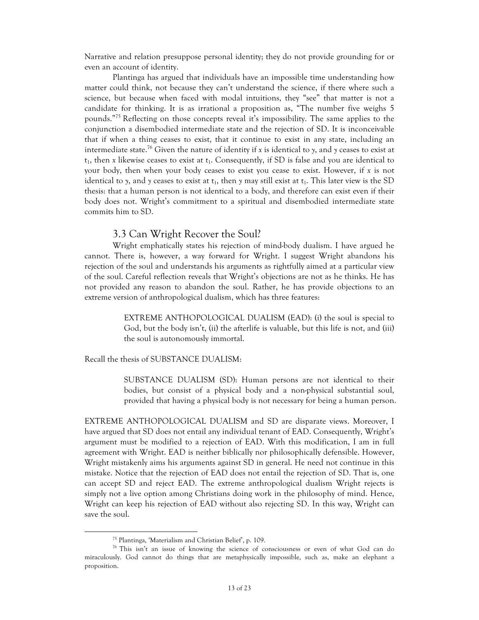Narrative and relation presuppose personal identity; they do not provide grounding for or even an account of identity.

Plantinga has argued that individuals have an impossible time understanding how matter could think, not because they can't understand the science, if there where such a science, but because when faced with modal intuitions, they "see" that matter is not a candidate for thinking. It is as irrational a proposition as, "The number five weighs 5 pounds."<sup>75</sup> Reflecting on those concepts reveal it's impossibility. The same applies to the conjunction a disembodied intermediate state and the rejection of SD. It is inconceivable that if when a thing ceases to exist, that it continue to exist in any state, including an intermediate state.<sup>76</sup> Given the nature of identity if x is identical to y, and y ceases to exist at  $t_1$ , then *x* likewise ceases to exist at  $t_1$ . Consequently, if SD is false and you are identical to your body, then when your body ceases to exist you cease to exist. However, if *x* is not identical to *y*, and *y* ceases to exist at t<sub>1</sub>, then *y* may still exist at t<sub>1</sub>. This later view is the SD thesis: that a human person is not identical to a body, and therefore can exist even if their body does not. Wright's commitment to a spiritual and disembodied intermediate state commits him to SD.

#### 3.3 Can Wright Recover the Soul?

Wright emphatically states his rejection of mind-body dualism. I have argued he cannot. There is, however, a way forward for Wright. I suggest Wright abandons his rejection of the soul and understands his arguments as rightfully aimed at a particular view of the soul. Careful reflection reveals that Wright's objections are not as he thinks. He has not provided any reason to abandon the soul. Rather, he has provide objections to an extreme version of anthropological dualism, which has three features:

> EXTREME ANTHOPOLOGICAL DUALISM (EAD): (i) the soul is special to God, but the body isn't, (ii) the afterlife is valuable, but this life is not, and (iii) the soul is autonomously immortal.

Recall the thesis of SUBSTANCE DUALISM:

SUBSTANCE DUALISM (SD): Human persons are not identical to their bodies, but consist of a physical body and a non-physical substantial soul, provided that having a physical body is not necessary for being a human person.

EXTREME ANTHOPOLOGICAL DUALISM and SD are disparate views. Moreover, I have argued that SD does not entail any individual tenant of EAD. Consequently, Wright's argument must be modified to a rejection of EAD. With this modification, I am in full agreement with Wright. EAD is neither biblically nor philosophically defensible. However, Wright mistakenly aims his arguments against SD in general. He need not continue in this mistake. Notice that the rejection of EAD does not entail the rejection of SD. That is, one can accept SD and reject EAD. The extreme anthropological dualism Wright rejects is simply not a live option among Christians doing work in the philosophy of mind. Hence, Wright can keep his rejection of EAD without also rejecting SD. In this way, Wright can save the soul.

<sup>75</sup> Plantinga, 'Materialism and Christian Belief', p. 109.

<sup>76</sup> This isn't an issue of knowing the science of consciousness or even of what God can do miraculously. God cannot do things that are metaphysically impossible, such as, make an elephant a proposition.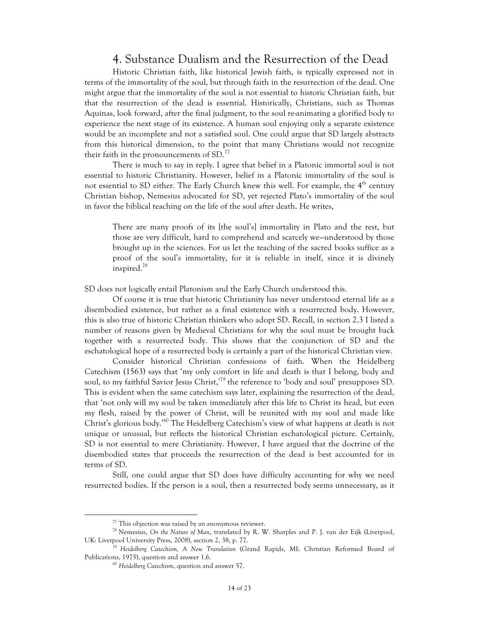### 4. Substance Dualism and the Resurrection of the Dead

Historic Christian faith, like historical Jewish faith, is typically expressed not in terms of the immortality of the soul, but through faith in the resurrection of the dead. One might argue that the immortality of the soul is not essential to historic Christian faith, but that the resurrection of the dead is essential. Historically, Christians, such as Thomas Aquinas, look forward, after the final judgment, to the soul re-animating a glorified body to experience the next stage of its existence. A human soul enjoying only a separate existence would be an incomplete and not a satisfied soul. One could argue that SD largely abstracts from this historical dimension, to the point that many Christians would not recognize their faith in the pronouncements of SD.<sup>77</sup>

There is much to say in reply. I agree that belief in a Platonic immortal soul is not essential to historic Christianity. However, belief in a Platonic immortality of the soul is not essential to SD either. The Early Church knew this well. For example, the 4<sup>th</sup> century Christian bishop, Nemesius advocated for SD, yet rejected Plato's immortality of the soul in favor the biblical teaching on the life of the soul after death. He writes,

There are many proofs of its [the soul's] immortality in Plato and the rest, but those are very difficult, hard to comprehend and scarcely we—understood by those brought up in the sciences. For us let the teaching of the sacred books suffice as a proof of the soul's immortality, for it is reliable in itself, since it is divinely inspired.78

SD does not logically entail Platonism and the Early Church understood this.

Of course it is true that historic Christianity has never understood eternal life as a disembodied existence, but rather as a final existence with a resurrected body. However, this is also true of historic Christian thinkers who adopt SD. Recall, in section 2.3 I listed a number of reasons given by Medieval Christians for why the soul must be brought back together with a resurrected body. This shows that the conjunction of SD and the eschatological hope of a resurrected body is certainly a part of the historical Christian view.

Consider historical Christian confessions of faith. When the Heidelberg Catechism (1563) says that 'my only comfort in life and death is that I belong, body and soul, to my faithful Savior Jesus Christ,<sup>19</sup> the reference to 'body and soul' presupposes SD. This is evident when the same catechism says later, explaining the resurrection of the dead, that 'not only will my soul be taken immediately after this life to Christ its head, but even my flesh, raised by the power of Christ, will be reunited with my soul and made like Christ's glorious body.<sup>380</sup> The Heidelberg Catechism's view of what happens at death is not unique or unusual, but reflects the historical Christian eschatological picture. Certainly, SD is not essential to mere Christianity. However, I have argued that the doctrine of the disembodied states that proceeds the resurrection of the dead is best accounted for in terms of SD.

Still, one could argue that SD does have difficulty accounting for why we need resurrected bodies. If the person is a soul, then a resurrected body seems unnecessary, as it

<sup>&</sup>lt;sup>77</sup> This objection was raised by an anonymous reviewer.<br><sup>78</sup> Nemesius, *On the Nature of Man*, translated by R. W. Sharples and P. J. van der Eijk (Liverpool, UK: Liverpool University Press, 2008), section 2, 38, p. 77.

<sup>79</sup> *Heidelberg Catechism, A New Translation* (Grand Rapids, MI: Christian Reformed Board of Publications, 1975), question and answer 1.6. 80 *Heidelberg Catechism*, question and answer 57.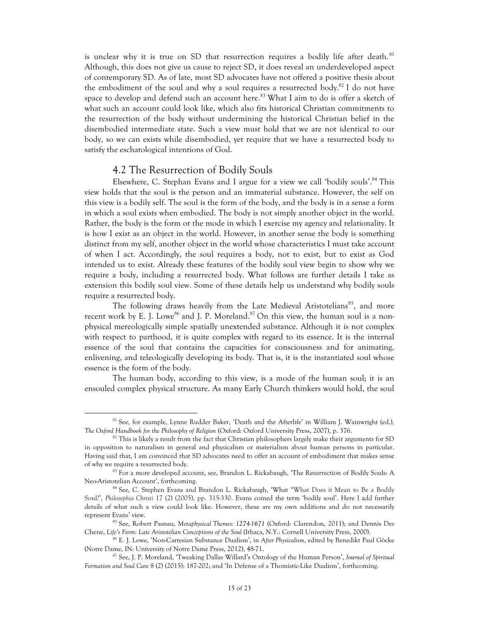is unclear why it is true on SD that resurrection requires a bodily life after death. $81$ Although, this does not give us cause to reject SD, it does reveal an underdeveloped aspect of contemporary SD. As of late, most SD advocates have not offered a positive thesis about the embodiment of the soul and why a soul requires a resurrected body.<sup>82</sup> I do not have space to develop and defend such an account here.<sup>83</sup> What I aim to do is offer a sketch of what such an account could look like, which also fits historical Christian commitments to the resurrection of the body without undermining the historical Christian belief in the disembodied intermediate state. Such a view must hold that we are not identical to our body, so we can exists while disembodied, yet require that we have a resurrected body to satisfy the eschatological intentions of God.

#### 4.2 The Resurrection of Bodily Souls

 

Elsewhere, C. Stephan Evans and I argue for a view we call 'bodily souls'.<sup>84</sup> This view holds that the soul is the person and an immaterial substance. However, the self on this view is a bodily self. The soul is the form of the body, and the body is in a sense a form in which a soul exists when embodied. The body is not simply another object in the world. Rather, the body is the form or the mode in which I exercise my agency and relationality. It is how I exist as an object in the world. However, in another sense the body is something distinct from my self, another object in the world whose characteristics I must take account of when I act. Accordingly, the soul requires a body, not to exist, but to exist as God intended us to exist. Already these features of the bodily soul view begin to show why we require a body, including a resurrected body. What follows are further details I take as extension this bodily soul view. Some of these details help us understand why bodily souls require a resurrected body.

The following draws heavily from the Late Medieval Aristotelians<sup>85</sup>, and more recent work by E. J. Lowe<sup>86</sup> and J. P. Moreland.<sup>87</sup> On this view, the human soul is a nonphysical mereologically simple spatially unextended substance. Although it is not complex with respect to parthood, it is quite complex with regard to its essence. It is the internal essence of the soul that contains the capacities for consciousness and for animating, enlivening, and teleologically developing its body. That is, it is the instantiated soul whose essence is the form of the body.

The human body, according to this view, is a mode of the human soul; it is an ensouled complex physical structure. As many Early Church thinkers would hold, the soul

<sup>&</sup>lt;sup>81</sup> See, for example, Lynne Rudder Baker, 'Death and the Afterlife' in William J. Wainwright (ed.), *The Oxford Handbook for the Philosophy of Religion* (Oxford: Oxford University Press, 2007), p. 376.

 $82$  This is likely a result from the fact that Christian philosophers largely make their arguments for SD in opposition to naturalism in general and physicalism or materialism about human persons in particular. Having said that, I am convinced that SD advocates need to offer an account of embodiment that makes sense of why we require a resurrected body.

<sup>&</sup>lt;sup>83</sup> For a more developed account, see, Brandon L. Rickabaugh, 'The Resurrection of Bodily Souls: A Neo-Aristotelian Account', forthcoming.<br><sup>84</sup> See, C. Stephen Evans and Brandon L. Rickabaugh, 'What "What Does it Mean to Be a Bodily

Soul?', *Philosophia Christi* 17 (2) (2005), pp. 315-330. Evans coined the term 'bodily soul'. Here I add further details of what such a view could look like. However, these are my own additions and do not necessarily represent Evans' view.

<sup>85</sup> See, Robert Pasnau, *Metaphysical Themes: 1274-1671* (Oxford: Clarendon, 2011); and Dennis Des Chene, *Life's Form: Late Aristotelian Conceptions of the Soul* (Ithaca, N.Y.: Cornell University Press, 2000).

<sup>86</sup> E. J. Lowe, 'Non-Cartesian Substance Dualism', in *After Physicalism*, edited by Benedikt Paul Göcke (Notre Dame, IN: University of Notre Dame Press, 2012), 48-71.

<sup>87</sup> See, J. P. Moreland, 'Tweaking Dallas Willard's Ontology of the Human Person', *Journal of Spiritual Formation and Soul Care* 8 (2) (2015): 187-202; and 'In Defense of a Thomistic-Like Dualism', forthcoming.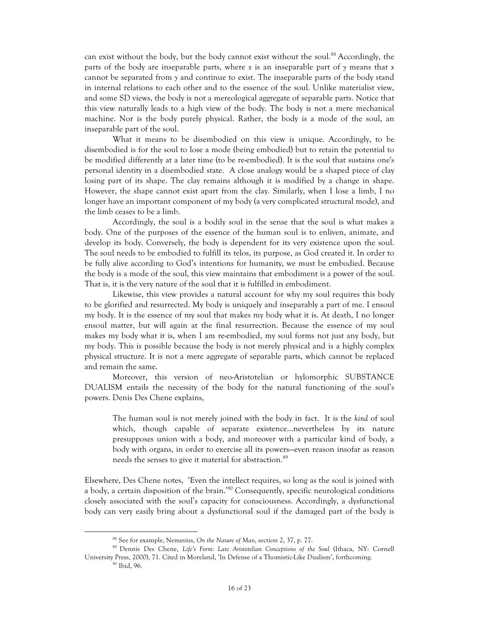can exist without the body, but the body cannot exist without the soul.<sup>88</sup> Accordingly, the parts of the body are inseparable parts, where *x* is an inseparable part of *y* means that *x* cannot be separated from *y* and continue to exist. The inseparable parts of the body stand in internal relations to each other and to the essence of the soul. Unlike materialist view, and some SD views, the body is not a mereological aggregate of separable parts. Notice that this view naturally leads to a high view of the body. The body is not a mere mechanical machine. Nor is the body purely physical. Rather, the body is a mode of the soul, an inseparable part of the soul.

What it means to be disembodied on this view is unique. Accordingly, to be disembodied is for the soul to lose a mode (being embodied) but to retain the potential to be modified differently at a later time (to be re-embodied). It is the soul that sustains one's personal identity in a disembodied state. A close analogy would be a shaped piece of clay losing part of its shape. The clay remains although it is modified by a change in shape. However, the shape cannot exist apart from the clay. Similarly, when I lose a limb, I no longer have an important component of my body (a very complicated structural mode), and the limb ceases to be a limb.

Accordingly, the soul is a bodily soul in the sense that the soul is what makes a body. One of the purposes of the essence of the human soul is to enliven, animate, and develop its body. Conversely, the body is dependent for its very existence upon the soul. The soul needs to be embodied to fulfill its telos, its purpose, as God created it. In order to be fully alive according to God's intentions for humanity, we must be embodied. Because the body is a mode of the soul, this view maintains that embodiment is a power of the soul. That is, it is the very nature of the soul that it is fulfilled in embodiment.

Likewise, this view provides a natural account for why my soul requires this body to be glorified and resurrected. My body is uniquely and inseparably a part of me. I ensoul my body. It is the essence of my soul that makes my body what it is. At death, I no longer ensoul matter, but will again at the final resurrection. Because the essence of my soul makes my body what it is, when I am re-embodied, my soul forms not just any body, but my body. This is possible because the body is not merely physical and is a highly complex physical structure. It is not a mere aggregate of separable parts, which cannot be replaced and remain the same.

Moreover, this version of neo-Aristotelian or hylomorphic SUBSTANCE DUALISM entails the necessity of the body for the natural functioning of the soul's powers. Denis Des Chene explains,

The human soul is not merely joined with the body in fact. It is the *kind* of soul which, though capable of separate existence…nevertheless by its nature presupposes union with a body, and moreover with a particular kind of body, a body with organs, in order to exercise all its powers—even reason insofar as reason needs the senses to give it material for abstraction.<sup>89</sup>

Elsewhere, Des Chene notes, 'Even the intellect requires, so long as the soul is joined with a body, a certain disposition of the brain.<sup>'90</sup> Consequently, specific neurological conditions closely associated with the soul's capacity for consciousness. Accordingly, a dysfunctional body can very easily bring about a dysfunctional soul if the damaged part of the body is

<sup>88</sup> See for example, Nemesius, *On the Nature of Man*, section 2, 37, p. 77.

<sup>89</sup> Dennis Des Chene, *Life's Form: Late Aristotelian Conceptions of the Soul* (Ithaca, NY: Cornell University Press, 2000), 71. Cited in Moreland, 'In Defense of a Thomistic-Like Dualism', forthcoming.

<sup>90</sup> Ibid, 96.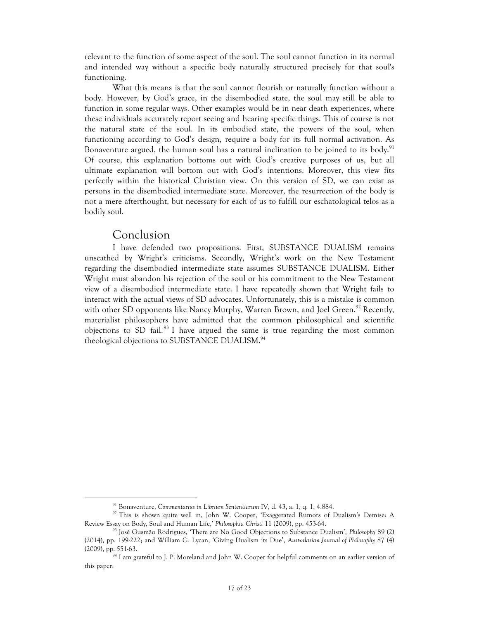relevant to the function of some aspect of the soul. The soul cannot function in its normal and intended way without a specific body naturally structured precisely for that soul's functioning.

What this means is that the soul cannot flourish or naturally function without a body. However, by God's grace, in the disembodied state, the soul may still be able to function in some regular ways. Other examples would be in near death experiences, where these individuals accurately report seeing and hearing specific things. This of course is not the natural state of the soul. In its embodied state, the powers of the soul, when functioning according to God's design, require a body for its full normal activation. As Bonaventure argued, the human soul has a natural inclination to be joined to its body.<sup>91</sup> Of course, this explanation bottoms out with God's creative purposes of us, but all ultimate explanation will bottom out with God's intentions. Moreover, this view fits perfectly within the historical Christian view. On this version of SD, we can exist as persons in the disembodied intermediate state. Moreover, the resurrection of the body is not a mere afterthought, but necessary for each of us to fulfill our eschatological telos as a bodily soul.

#### Conclusion

 

I have defended two propositions. First, SUBSTANCE DUALISM remains unscathed by Wright's criticisms. Secondly, Wright's work on the New Testament regarding the disembodied intermediate state assumes SUBSTANCE DUALISM. Either Wright must abandon his rejection of the soul or his commitment to the New Testament view of a disembodied intermediate state. I have repeatedly shown that Wright fails to interact with the actual views of SD advocates. Unfortunately, this is a mistake is common with other SD opponents like Nancy Murphy, Warren Brown, and Joel Green.<sup>92</sup> Recently, materialist philosophers have admitted that the common philosophical and scientific objections to SD fail.<sup>93</sup> I have argued the same is true regarding the most common theological objections to SUBSTANCE DUALISM. 94

<sup>91</sup> Bonaventure, *Commentarius in Librium Sententiarum* IV, d. 43, a. 1, q. 1, 4.884.

<sup>92</sup> This is shown quite well in, John W. Cooper, 'Exaggerated Rumors of Dualism's Demise: A Review Essay on Body, Soul and Human Life,' *Philosophia Christi* 11 (2009), pp. 453-64.

<sup>93</sup> José Gusmão Rodrigues, 'There are No Good Objections to Substance Dualism', *Philosophy* 89 (2) (2014), pp. 199-222; and William G. Lycan, 'Giving Dualism its Due', *Australasian Journal of Philosophy* 87 (4) (2009), pp. 551-63.

<sup>&</sup>lt;sup>94</sup> I am grateful to J. P. Moreland and John W. Cooper for helpful comments on an earlier version of this paper.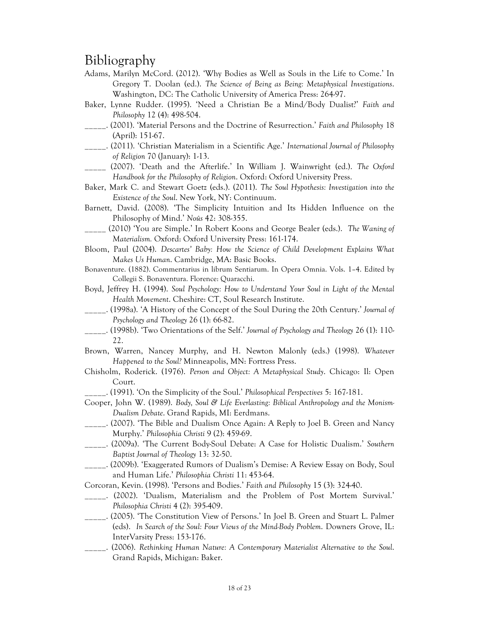# Bibliography

- Adams, Marilyn McCord. (2012). 'Why Bodies as Well as Souls in the Life to Come.' In Gregory T. Doolan (ed.). *The Science of Being as Being: Metaphysical Investigations*. Washington, DC: The Catholic University of America Press: 264-97.
- Baker, Lynne Rudder. (1995). 'Need a Christian Be a Mind/Body Dualist?' *Faith and Philosophy* 12 (4): 498-504.
- \_\_\_\_\_. (2001). 'Material Persons and the Doctrine of Resurrection.' *Faith and Philosophy* 18 (April): 151-67.
- \_\_\_\_\_. (2011). 'Christian Materialism in a Scientific Age.' *International Journal of Philosophy of Religion* 70 (January): 1-13.
- \_\_\_\_\_ (2007). 'Death and the Afterlife.' In William J. Wainwright (ed.). *The Oxford Handbook for the Philosophy of Religion*. Oxford: Oxford University Press.
- Baker, Mark C. and Stewart Goetz (eds.). (2011). *The Soul Hypothesis: Investigation into the Existence of the Soul*. New York, NY: Continuum.
- Barnett, David. (2008). 'The Simplicity Intuition and Its Hidden Influence on the Philosophy of Mind.' *Noûs* 42: 308-355.
- \_\_\_\_\_ (2010) 'You are Simple.' In Robert Koons and George Bealer (eds.). *The Waning of Materialism.* Oxford: Oxford University Press: 161-174.
- Bloom, Paul (2004). *Descartes' Baby: How the Science of Child Development Explains What Makes Us Human*. Cambridge, MA: Basic Books.

Bonaventure. (1882). Commentarius in librum Sentiarum. In Opera Omnia. Vols. 1–4. Edited by Collegii S. Bonaventura. Florence: Quaracchi.

- Boyd, Jeffrey H. (1994). *Soul Psychology: How to Understand Your Soul in Light of the Mental Health Movement*. Cheshire: CT, Soul Research Institute.
- \_\_\_\_\_. (1998a). 'A History of the Concept of the Soul During the 20th Century.' *Journal of Psychology and Theology* 26 (1): 66-82.
- \_\_\_\_\_. (1998b). 'Two Orientations of the Self.' *Journal of Psychology and Theology* 26 (1): 110- 22.
- Brown, Warren, Nancey Murphy, and H. Newton Malonly (eds.) (1998). *Whatever Happened to the Soul?* Minneapolis, MN: Fortress Press.
- Chisholm, Roderick. (1976). *Person and Object: A Metaphysical Study*. Chicago: Il: Open Court.

\_\_\_\_\_. (1991). 'On the Simplicity of the Soul.' *Philosophical Perspectives* 5: 167-181.

- Cooper, John W. (1989). *Body, Soul & Life Everlasting: Biblical Anthropology and the Monism-Dualism Debate*. Grand Rapids, MI: Eerdmans.
- \_\_\_\_\_. (2007). 'The Bible and Dualism Once Again: A Reply to Joel B. Green and Nancy Murphy.' *Philosophia Christi* 9 (2): 459-69.
- \_\_\_\_\_. (2009a). 'The Current Body-Soul Debate: A Case for Holistic Dualism.' *Southern Baptist Journal of Theology* 13: 32-50.
- \_\_\_\_\_. (2009b). 'Exaggerated Rumors of Dualism's Demise: A Review Essay on Body, Soul and Human Life.' *Philosophia Christi* 11: 453-64.
- Corcoran, Kevin. (1998). 'Persons and Bodies.' *Faith and Philosophy* 15 (3): 324-40.
- \_\_\_\_\_. (2002). 'Dualism, Materialism and the Problem of Post Mortem Survival.' *Philosophia Christi* 4 (2): 395-409.
- \_\_\_\_\_. (2005). 'The Constitution View of Persons.' In Joel B. Green and Stuart L. Palmer (eds). *In Search of the Soul: Four Views of the Mind-Body Problem*. Downers Grove, IL: InterVarsity Press: 153-176.
- \_\_\_\_\_. (2006). *Rethinking Human Nature: A Contemporary Materialist Alternative to the Soul*. Grand Rapids, Michigan: Baker.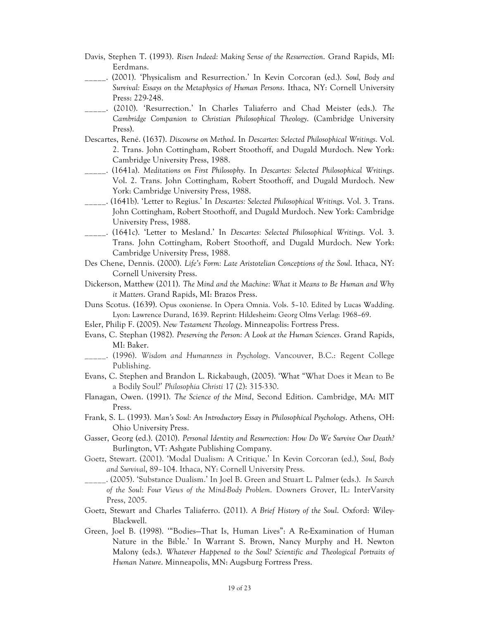- Davis, Stephen T. (1993). *Risen Indeed: Making Sense of the Resurrection*. Grand Rapids, MI: Eerdmans.
- \_\_\_\_\_. (2001). 'Physicalism and Resurrection.' In Kevin Corcoran (ed.). *Soul, Body and Survival: Essays on the Metaphysics of Human Persons*. Ithaca, NY: Cornell University Press: 229-248.
- \_\_\_\_\_. (2010). 'Resurrection.' In Charles Taliaferro and Chad Meister (eds.). *The Cambridge Companion to Christian Philosophical Theology*. (Cambridge University Press).
- Descartes, René. (1637). *Discourse on Method*. In *Descartes: Selected Philosophical Writings*. Vol. 2. Trans. John Cottingham, Robert Stoothoff, and Dugald Murdoch. New York: Cambridge University Press, 1988.
- \_\_\_\_\_. (1641a). *Meditations on First Philosophy*. In *Descartes: Selected Philosophical Writings*. Vol. 2. Trans. John Cottingham, Robert Stoothoff, and Dugald Murdoch. New York: Cambridge University Press, 1988.
- \_\_\_\_\_. (1641b). 'Letter to Regius.' In *Descartes: Selected Philosophical Writings*. Vol. 3. Trans. John Cottingham, Robert Stoothoff, and Dugald Murdoch. New York: Cambridge University Press, 1988.
- \_\_\_\_\_. (1641c). 'Letter to Mesland.' In *Descartes: Selected Philosophical Writings*. Vol. 3. Trans. John Cottingham, Robert Stoothoff, and Dugald Murdoch. New York: Cambridge University Press, 1988.
- Des Chene, Dennis. (2000). *Life's Form: Late Aristotelian Conceptions of the Soul*. Ithaca, NY: Cornell University Press.
- Dickerson, Matthew (2011). *The Mind and the Machine: What it Means to Be Human and Why it Matters*. Grand Rapids, MI: Brazos Press.
- Duns Scotus. (1639). Opus oxoniense. In Opera Omnia. Vols. 5–10. Edited by Lucas Wadding. Lyon: Lawrence Durand, 1639. Reprint: Hildesheim: Georg Olms Verlag: 1968–69.
- Esler, Philip F. (2005). *New Testament Theology*. Minneapolis: Fortress Press.
- Evans, C. Stephan (1982). *Preserving the Person: A Look at the Human Sciences*. Grand Rapids, MI: Baker.
- \_\_\_\_\_. (1996). *Wisdom and Humanness in Psychology*. Vancouver, B.C.: Regent College Publishing.
- Evans, C. Stephen and Brandon L. Rickabaugh, (2005). 'What "What Does it Mean to Be a Bodily Soul?' *Philosophia Christi* 17 (2): 315-330.
- Flanagan, Owen. (1991). *The Science of the Mind*, Second Edition. Cambridge, MA: MIT Press.
- Frank, S. L. (1993). *Man's Soul: An Introductory Essay in Philosophical Psychology*. Athens, OH: Ohio University Press.
- Gasser, Georg (ed.). (2010). *Personal Identity and Resurrection: How Do We Survive Our Death?* Burlington, VT: Ashgate Publishing Company.
- Goetz, Stewart. (2001). 'Modal Dualism: A Critique.' In Kevin Corcoran (ed.), *Soul, Body and Survival*, 89–104. Ithaca, NY: Cornell University Press.
- \_\_\_\_\_. (2005). 'Substance Dualism.' In Joel B. Green and Stuart L. Palmer (eds.). *In Search of the Soul: Four Views of the Mind-Body Problem*. Downers Grover, IL: InterVarsity Press, 2005.
- Goetz, Stewart and Charles Taliaferro. (2011). *A Brief History of the Soul*. Oxford: Wiley-Blackwell.
- Green, Joel B. (1998). '"Bodies—That Is, Human Lives": A Re-Examination of Human Nature in the Bible.' In Warrant S. Brown, Nancy Murphy and H. Newton Malony (eds.). *Whatever Happened to the Soul? Scientific and Theological Portraits of Human Nature*. Minneapolis, MN: Augsburg Fortress Press.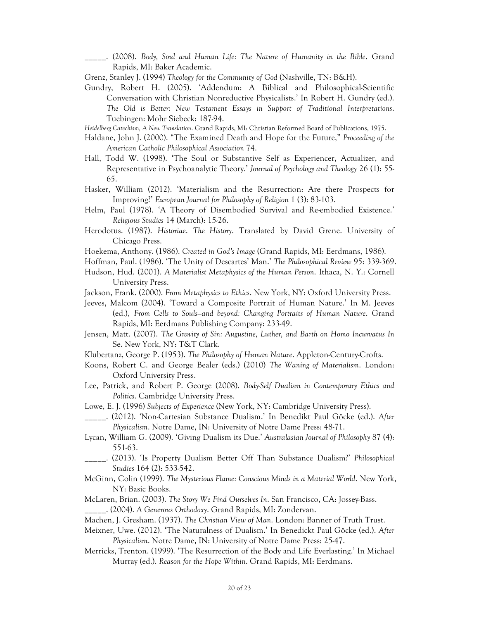\_\_\_\_\_. (2008). *Body, Soul and Human Life: The Nature of Humanity in the Bible*. Grand Rapids, MI: Baker Academic.

Grenz, Stanley J. (1994) *Theology for the Community of God* (Nashville, TN: B&H).

- Gundry, Robert H. (2005). 'Addendum: A Biblical and Philosophical-Scientific Conversation with Christian Nonreductive Physicalists.' In Robert H. Gundry (ed.). *The Old is Better: New Testament Essays in Support of Traditional Interpretations*. Tuebingen: Mohr Siebeck: 187-94.
- *Heidelberg Catechism, A New Translation*. Grand Rapids, MI: Christian Reformed Board of Publications, 1975.
- Haldane, John J. (2000). "The Examined Death and Hope for the Future," *Proceeding of the American Catholic Philosophical Association* 74.
- Hall, Todd W. (1998). 'The Soul or Substantive Self as Experiencer, Actualizer, and Representative in Psychoanalytic Theory.' *Journal of Psychology and Theology* 26 (1): 55- 65.
- Hasker, William (2012). 'Materialism and the Resurrection: Are there Prospects for Improving?' *European Journal for Philosophy of Religion* 1 (3): 83-103.
- Helm, Paul (1978). 'A Theory of Disembodied Survival and Re-embodied Existence.' *Religious Studies* 14 (March): 15-26.
- Herodotus. (1987). *Historiae*. *The History*. Translated by David Grene. University of Chicago Press.
- Hoekema, Anthony. (1986). *Created in God's Image* (Grand Rapids, MI: Eerdmans, 1986).
- Hoffman, Paul. (1986). 'The Unity of Descartes' Man.' *The Philosophical Review* 95: 339-369.
- Hudson, Hud. (2001). *A Materialist Metaphysics of the Human Person*. Ithaca, N. Y.: Cornell University Press.
- Jackson, Frank. (2000). *From Metaphysics to Ethics*. New York, NY: Oxford University Press.
- Jeeves, Malcom (2004). 'Toward a Composite Portrait of Human Nature.' In M. Jeeves (ed.), *From Cells to Souls—and beyond: Changing Portraits of Human Nature*. Grand Rapids, MI: Eerdmans Publishing Company: 233-49.
- Jensen, Matt. (2007). *The Gravity of Sin: Augustine, Luther, and Barth on Homo Incurvatus In*  Se. New York, NY: T&T Clark.
- Klubertanz, George P. (1953). *The Philosophy of Human Nature*. Appleton-Century-Crofts.
- Koons, Robert C. and George Bealer (eds.) (2010) *The Waning of Materialism*. London: Oxford University Press.
- Lee, Patrick, and Robert P. George (2008). *Body-Self Dualism in Contemporary Ethics and Politics*. Cambridge University Press.
- Lowe, E. J. (1996) *Subjects of Experience* (New York, NY: Cambridge University Press).
- \_\_\_\_\_. (2012). 'Non-Cartesian Substance Dualism.' In Benedikt Paul Göcke (ed.). *After Physicalism*. Notre Dame, IN: University of Notre Dame Press: 48-71.
- Lycan, William G. (2009). 'Giving Dualism its Due.' *Australasian Journal of Philosophy* 87 (4): 551-63.
- \_\_\_\_\_. (2013). 'Is Property Dualism Better Off Than Substance Dualism?' *Philosophical Studies* 164 (2): 533-542.
- McGinn, Colin (1999). *The Mysterious Flame: Conscious Minds in a Material World*. New York, NY: Basic Books.
- McLaren, Brian. (2003). *The Story We Find Ourselves In*. San Francisco, CA: Jossey-Bass. \_\_\_\_\_. (2004). *A Generous Orthodoxy*. Grand Rapids, MI: Zondervan.
- Machen, J. Gresham. (1937). *The Christian View of Man*. London: Banner of Truth Trust.
- Meixner, Uwe. (2012). 'The Naturalness of Dualism.' In Benedickt Paul Göcke (ed.). *After Physicalism*. Notre Dame, IN: University of Notre Dame Press: 25-47.
- Merricks, Trenton. (1999). 'The Resurrection of the Body and Life Everlasting.' In Michael Murray (ed.). *Reason for the Hope Within*. Grand Rapids, MI: Eerdmans.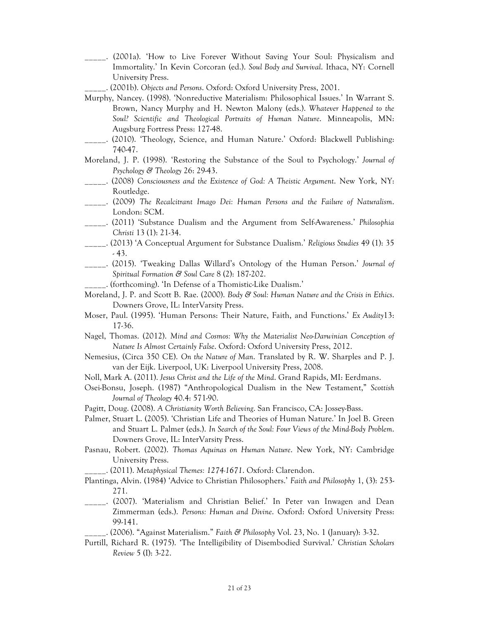- \_\_\_\_\_. (2001a). 'How to Live Forever Without Saving Your Soul: Physicalism and Immortality.' In Kevin Corcoran (ed.). *Soul Body and Survival*. Ithaca, NY: Cornell University Press.
	- \_\_\_\_\_. (2001b). *Objects and Persons*. Oxford: Oxford University Press, 2001.
- Murphy, Nancey. (1998). 'Nonreductive Materialism: Philosophical Issues.' In Warrant S. Brown, Nancy Murphy and H. Newton Malony (eds.). *Whatever Happened to the Soul? Scientific and Theological Portraits of Human Nature*. Minneapolis, MN: Augsburg Fortress Press: 127-48.
- \_\_\_\_\_. (2010). 'Theology, Science, and Human Nature.' Oxford: Blackwell Publishing: 740-47.
- Moreland, J. P. (1998). 'Restoring the Substance of the Soul to Psychology.' *Journal of Psychology & Theology* 26: 29-43.
- \_\_\_\_\_. (2008) *Consciousness and the Existence of God: A Theistic Argument*. New York, NY: Routledge.
- \_\_\_\_\_. (2009) *The Recalcitrant Imago Dei: Human Persons and the Failure of Naturalism*. London: SCM.
- \_\_\_\_\_. (2011) 'Substance Dualism and the Argument from Self-Awareness.' *Philosophia Christi* 13 (1): 21-34.
- \_\_\_\_\_. (2013) 'A Conceptual Argument for Substance Dualism.' *Religious Studies* 49 (1): 35 - 43.
- \_\_\_\_\_. (2015). 'Tweaking Dallas Willard's Ontology of the Human Person.' *Journal of Spiritual Formation & Soul Care* 8 (2): 187-202.
- \_\_\_\_\_. (forthcoming). 'In Defense of a Thomistic-Like Dualism.'
- Moreland, J. P. and Scott B. Rae. (2000). *Body & Soul: Human Nature and the Crisis in Ethics*. Downers Grove, IL: InterVarsity Press.
- Moser, Paul. (1995). 'Human Persons: Their Nature, Faith, and Functions.' *Ex Audity*13: 17-36.
- Nagel, Thomas. (2012). *Mind and Cosmos: Why the Materialist Neo-Darwinian Conception of Nature Is Almost Certainly False*. Oxford: Oxford University Press, 2012.
- Nemesius, (Circa 350 CE). *On the Nature of Man*. Translated by R. W. Sharples and P. J. van der Eijk. Liverpool, UK: Liverpool University Press, 2008.
- Noll, Mark A. (2011). *Jesus Christ and the Life of the Mind*. Grand Rapids, MI: Eerdmans.
- Osei-Bonsu, Joseph. (1987) "Anthropological Dualism in the New Testament," *Scottish Journal of Theology* 40.4: 571-90.
- Pagitt, Doug. (2008). *A Christianity Worth Believing*. San Francisco, CA: Jossey-Bass.
- Palmer, Stuart L. (2005). 'Christian Life and Theories of Human Nature.' In Joel B. Green and Stuart L. Palmer (eds.). *In Search of the Soul: Four Views of the Mind-Body Problem*. Downers Grove, IL: InterVarsity Press.
- Pasnau, Robert. (2002). *Thomas Aquinas on Human Nature*. New York, NY: Cambridge University Press.

\_\_\_\_\_. (2011). *Metaphysical Themes: 1274-1671*. Oxford: Clarendon.

- Plantinga, Alvin. (1984) 'Advice to Christian Philosophers.' *Faith and Philosophy* 1, (3): 253- 271.
- \_\_\_\_\_. (2007). 'Materialism and Christian Belief.' In Peter van Inwagen and Dean Zimmerman (eds.). *Persons: Human and Divine*. Oxford: Oxford University Press: 99-141.
- \_\_\_\_\_. (2006). "Against Materialism." *Faith & Philosophy* Vol. 23, No. 1 (January): 3-32.
- Purtill, Richard R. (1975). 'The Intelligibility of Disembodied Survival.' *Christian Scholars Review* 5 (I): 3-22.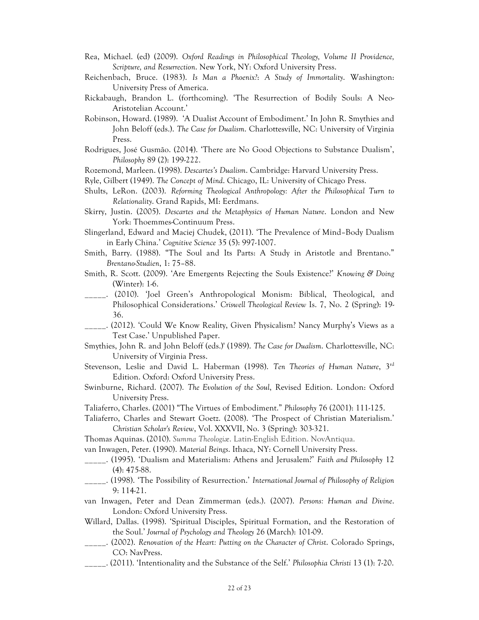- Rea, Michael. (ed) (2009). *Oxford Readings in Philosophical Theology, Volume II Providence, Scripture, and Resurrection*. New York, NY: Oxford University Press.
- Reichenbach, Bruce. (1983). *Is Man a Phoenix?*: *A Study of Immortality*. Washington: University Press of America.
- Rickabaugh, Brandon L. (forthcoming). 'The Resurrection of Bodily Souls: A Neo-Aristotelian Account.'
- Robinson, Howard. (1989). 'A Dualist Account of Embodiment.' In John R. Smythies and John Beloff (eds.). *The Case for Dualism*. Charlottesville, NC: University of Virginia Press.
- Rodrigues, José Gusmão. (2014). 'There are No Good Objections to Substance Dualism', *Philosophy* 89 (2): 199-222.
- Rozemond, Marleen. (1998). *Descartes's Dualism*. Cambridge: Harvard University Press.
- Ryle, Gilbert (1949). *The Concept of Mind*. Chicago, IL: University of Chicago Press.
- Shults, LeRon. (2003). *Reforming Theological Anthropology: After the Philosophical Turn to Relationality*. Grand Rapids, MI: Eerdmans.
- Skirry, Justin. (2005). *Descartes and the Metaphysics of Human Nature*. London and New York: Thoemmes-Continuum Press.
- Slingerland, Edward and Maciej Chudek, (2011). 'The Prevalence of Mind–Body Dualism in Early China.' *Cognitive Science* 35 (5): 997-1007.
- Smith, Barry. (1988). "The Soul and Its Parts: A Study in Aristotle and Brentano." *Brentano-Studien*, 1: 75–88.
- Smith, R. Scott. (2009). 'Are Emergents Rejecting the Souls Existence?' *Knowing & Doing* (Winter): 1-6.
- \_\_\_\_\_. (2010). 'Joel Green's Anthropological Monism: Biblical, Theological, and Philosophical Considerations.' *Criswell Theological Review* Is. 7, No. 2 (Spring): 19- 36.
- \_\_\_\_\_. (2012). 'Could We Know Reality, Given Physicalism? Nancy Murphy's Views as a Test Case.' Unpublished Paper.
- Smythies, John R. and John Beloff (eds.)' (1989). *The Case for Dualism*. Charlottesville, NC: University of Virginia Press.
- Stevenson, Leslie and David L. Haberman (1998). *Ten Theories of Human Nature*, 3rd Edition. Oxford: Oxford University Press.
- Swinburne, Richard. (2007). *The Evolution of the Soul*, Revised Edition. London: Oxford University Press.
- Taliaferro, Charles. (2001) "The Virtues of Embodiment." *Philosophy* 76 (2001): 111-125.
- Taliaferro, Charles and Stewart Goetz. (2008). 'The Prospect of Christian Materialism.' *Christian Scholar's Review*, Vol. XXXVII, No. 3 (Spring): 303-321.
- Thomas Aquinas. (2010). *Summa Theologiæ*. Latin-English Edition. NovAntiqua.
- van Inwagen, Peter. (1990). *Material Beings*. Ithaca, NY: Cornell University Press.
- \_\_\_\_\_. (1995). 'Dualism and Materialism: Athens and Jerusalem?' *Faith and Philosophy* 12 (4): 475-88.
- \_\_\_\_\_. (1998). 'The Possibility of Resurrection.' *International Journal of Philosophy of Religion* 9: 114-21.
- van Inwagen, Peter and Dean Zimmerman (eds.). (2007). *Persons: Human and Divine*. London: Oxford University Press.
- Willard, Dallas. (1998). 'Spiritual Disciples, Spiritual Formation, and the Restoration of the Soul.' *Journal of Psychology and Theology* 26 (March): 101-09.
- \_\_\_\_\_. (2002). *Renovation of the Heart: Putting on the Character of Christ*. Colorado Springs, CO: NavPress.
- \_\_\_\_\_. (2011). 'Intentionality and the Substance of the Self.' *Philosophia Christi* 13 (1): 7-20.